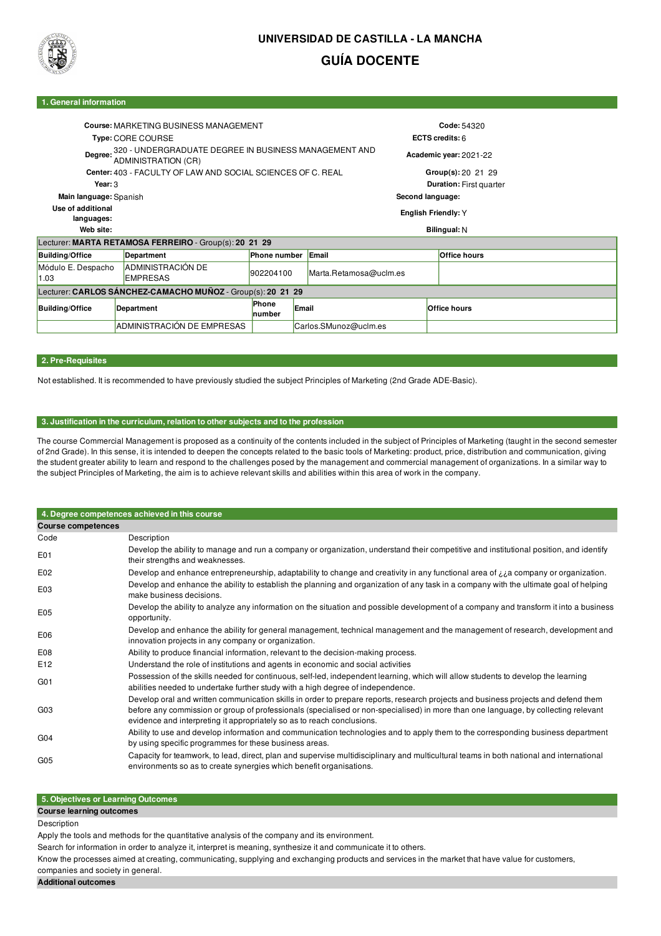

# **UNIVERSIDAD DE CASTILLA - LA MANCHA GUÍA DOCENTE**

### **1. General information**

|                                                             | Course: MARKETING BUSINESS MANAGEMENT<br>Type: CORE COURSE  |                                | Code: 54320<br>ECTS credits: $6$ |                        |  |                     |  |  |
|-------------------------------------------------------------|-------------------------------------------------------------|--------------------------------|----------------------------------|------------------------|--|---------------------|--|--|
| Degree:<br>ADMINISTRATION (CR)                              | 320 - UNDERGRADUATE DEGREE IN BUSINESS MANAGEMENT AND       |                                |                                  | Academic year: 2021-22 |  |                     |  |  |
|                                                             | Center: 403 - FACULTY OF LAW AND SOCIAL SCIENCES OF C. REAL |                                |                                  |                        |  | Group(s):20,21,29   |  |  |
| Year: 3                                                     |                                                             | <b>Duration: First quarter</b> |                                  |                        |  |                     |  |  |
| Main language: Spanish                                      |                                                             |                                | Second language:                 |                        |  |                     |  |  |
| Use of additional<br>languages:                             |                                                             | English Friendly: Y            |                                  |                        |  |                     |  |  |
| Web site:<br>Bilingual: N                                   |                                                             |                                |                                  |                        |  |                     |  |  |
|                                                             | Lecturer: MARTA RETAMOSA FERREIRO - Group(s): 20 21 29      |                                |                                  |                        |  |                     |  |  |
| <b>Building/Office</b>                                      | Department                                                  | <b>Phone number</b>            |                                  | Email                  |  | <b>Office hours</b> |  |  |
| Módulo E. Despacho<br>1.03                                  | <b>ADMINISTRACIÓN DE</b><br><b>EMPRESAS</b>                 | 902204100                      |                                  | Marta.Retamosa@uclm.es |  |                     |  |  |
| Lecturer: CARLOS SÁNCHEZ-CAMACHO MUÑOZ - Group(s): 20 21 29 |                                                             |                                |                                  |                        |  |                     |  |  |
| <b>Building/Office</b>                                      | Department                                                  | Phone<br>number                | Email                            |                        |  | <b>Office hours</b> |  |  |
|                                                             | ADMINISTRACIÓN DE EMPRESAS                                  |                                |                                  | Carlos.SMunoz@uclm.es  |  |                     |  |  |

## **2. Pre-Requisites**

Not established. It is recommended to have previously studied the subject Principles of Marketing (2nd Grade ADE-Basic).

### **3. Justification in the curriculum, relation to other subjects and to the profession**

The course Commercial Management is proposed as a continuity of the contents included in the subject of Principles of Marketing (taught in the second semester of 2nd Grade). In this sense, it is intended to deepen the concepts related to the basic tools of Marketing: product, price, distribution and communication, giving the student greater ability to learn and respond to the challenges posed by the management and commercial management of organizations. In a similar way to the subject Principles of Marketing, the aim is to achieve relevant skills and abilities within this area of work in the company.

|                           | 4. Degree competences achieved in this course                                                                                                                                                                                                                                                                                                      |
|---------------------------|----------------------------------------------------------------------------------------------------------------------------------------------------------------------------------------------------------------------------------------------------------------------------------------------------------------------------------------------------|
| <b>Course competences</b> |                                                                                                                                                                                                                                                                                                                                                    |
| Code                      | Description                                                                                                                                                                                                                                                                                                                                        |
| E01                       | Develop the ability to manage and run a company or organization, understand their competitive and institutional position, and identify<br>their strengths and weaknesses.                                                                                                                                                                          |
| E02                       | Develop and enhance entrepreneurship, adaptability to change and creativity in any functional area of $\lambda$ a company or organization.                                                                                                                                                                                                         |
| E03                       | Develop and enhance the ability to establish the planning and organization of any task in a company with the ultimate goal of helping<br>make business decisions.                                                                                                                                                                                  |
| E05                       | Develop the ability to analyze any information on the situation and possible development of a company and transform it into a business<br>opportunity.                                                                                                                                                                                             |
| E06                       | Develop and enhance the ability for general management, technical management and the management of research, development and<br>innovation projects in any company or organization.                                                                                                                                                                |
| E08                       | Ability to produce financial information, relevant to the decision-making process.                                                                                                                                                                                                                                                                 |
| E12                       | Understand the role of institutions and agents in economic and social activities                                                                                                                                                                                                                                                                   |
| G <sub>01</sub>           | Possession of the skills needed for continuous, self-led, independent learning, which will allow students to develop the learning<br>abilities needed to undertake further study with a high degree of independence.                                                                                                                               |
| G <sub>03</sub>           | Develop oral and written communication skills in order to prepare reports, research projects and business projects and defend them<br>before any commission or group of professionals (specialised or non-specialised) in more than one language, by collecting relevant<br>evidence and interpreting it appropriately so as to reach conclusions. |
| G <sub>04</sub>           | Ability to use and develop information and communication technologies and to apply them to the corresponding business department<br>by using specific programmes for these business areas.                                                                                                                                                         |
| G <sub>05</sub>           | Capacity for teamwork, to lead, direct, plan and supervise multidisciplinary and multicultural teams in both national and international<br>environments so as to create synergies which benefit organisations.                                                                                                                                     |

# **5. Objectives or Learning Outcomes**

### **Course learning outcomes**

#### Description

Apply the tools and methods for the quantitative analysis of the company and its environment.

Search for information in order to analyze it, interpret is meaning, synthesize it and communicate it to others.

Know the processes aimed at creating, communicating, supplying and exchanging products and services in the market that have value for customers, companies and society in general.

### **Additional outcomes**